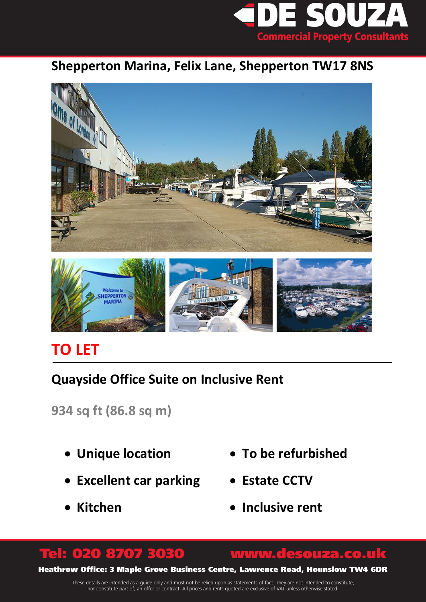

### **Shepperton Marina, Felix Lane, Shepperton TW17 8NS**



## **TO LET**

## **Quayside Office Suite on Inclusive Rent**

**934 sq ft (86.8 sq m)**

- **Unique location**
- **Excellent car parking**
- **Kitchen**
- **To be refurbished**
- **Estate CCTV**
- **Inclusive rent**

# Tel: 020 8707 3030 www.desouza.co.uk

Heathrow Office: 3 Maple Grove Business Centre, Lawrence Road, Hounslow TW4 6DR